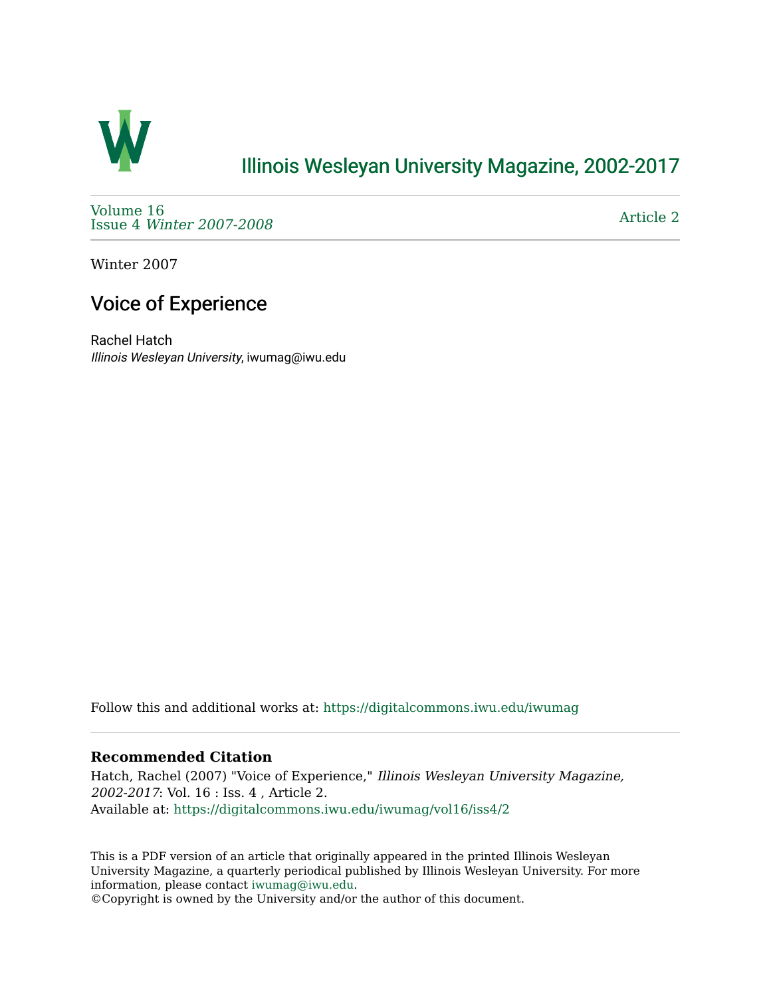

## [Illinois Wesleyan University Magazine, 2002-2017](https://digitalcommons.iwu.edu/iwumag)

[Volume 16](https://digitalcommons.iwu.edu/iwumag/vol16)  Issue 4 [Winter 2007-2008](https://digitalcommons.iwu.edu/iwumag/vol16/iss4)

[Article 2](https://digitalcommons.iwu.edu/iwumag/vol16/iss4/2) 

Winter 2007

## Voice of Experience

Rachel Hatch Illinois Wesleyan University, iwumag@iwu.edu

Follow this and additional works at: [https://digitalcommons.iwu.edu/iwumag](https://digitalcommons.iwu.edu/iwumag?utm_source=digitalcommons.iwu.edu%2Fiwumag%2Fvol16%2Fiss4%2F2&utm_medium=PDF&utm_campaign=PDFCoverPages) 

#### **Recommended Citation**

Hatch, Rachel (2007) "Voice of Experience," Illinois Wesleyan University Magazine, 2002-2017: Vol. 16 : Iss. 4 , Article 2. Available at: [https://digitalcommons.iwu.edu/iwumag/vol16/iss4/2](https://digitalcommons.iwu.edu/iwumag/vol16/iss4/2?utm_source=digitalcommons.iwu.edu%2Fiwumag%2Fvol16%2Fiss4%2F2&utm_medium=PDF&utm_campaign=PDFCoverPages)

This is a PDF version of an article that originally appeared in the printed Illinois Wesleyan University Magazine, a quarterly periodical published by Illinois Wesleyan University. For more information, please contact [iwumag@iwu.edu](mailto:iwumag@iwu.edu).

©Copyright is owned by the University and/or the author of this document.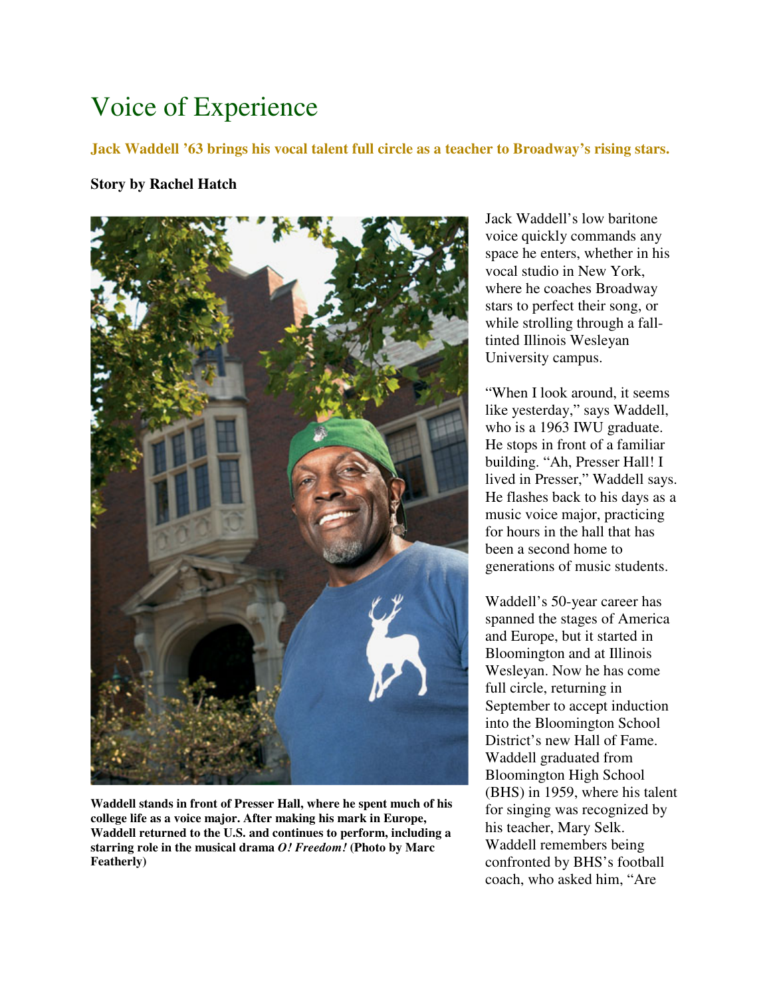# Voice of Experience

**Jack Waddell '63 brings his vocal talent full circle as a teacher to Broadway's rising stars.** 

### **Story by Rachel Hatch**



**Waddell stands in front of Presser Hall, where he spent much of his college life as a voice major. After making his mark in Europe, Waddell returned to the U.S. and continues to perform, including a starring role in the musical drama** *O! Freedom!* **(Photo by Marc Featherly)** 

Jack Waddell's low baritone voice quickly commands any space he enters, whether in his vocal studio in New York, where he coaches Broadway stars to perfect their song, or while strolling through a falltinted Illinois Wesleyan University campus.

"When I look around, it seems like yesterday," says Waddell, who is a 1963 IWU graduate. He stops in front of a familiar building. "Ah, Presser Hall! I lived in Presser," Waddell says. He flashes back to his days as a music voice major, practicing for hours in the hall that has been a second home to generations of music students.

Waddell's 50-year career has spanned the stages of America and Europe, but it started in Bloomington and at Illinois Wesleyan. Now he has come full circle, returning in September to accept induction into the Bloomington School District's new Hall of Fame. Waddell graduated from Bloomington High School (BHS) in 1959, where his talent for singing was recognized by his teacher, Mary Selk. Waddell remembers being confronted by BHS's football coach, who asked him, "Are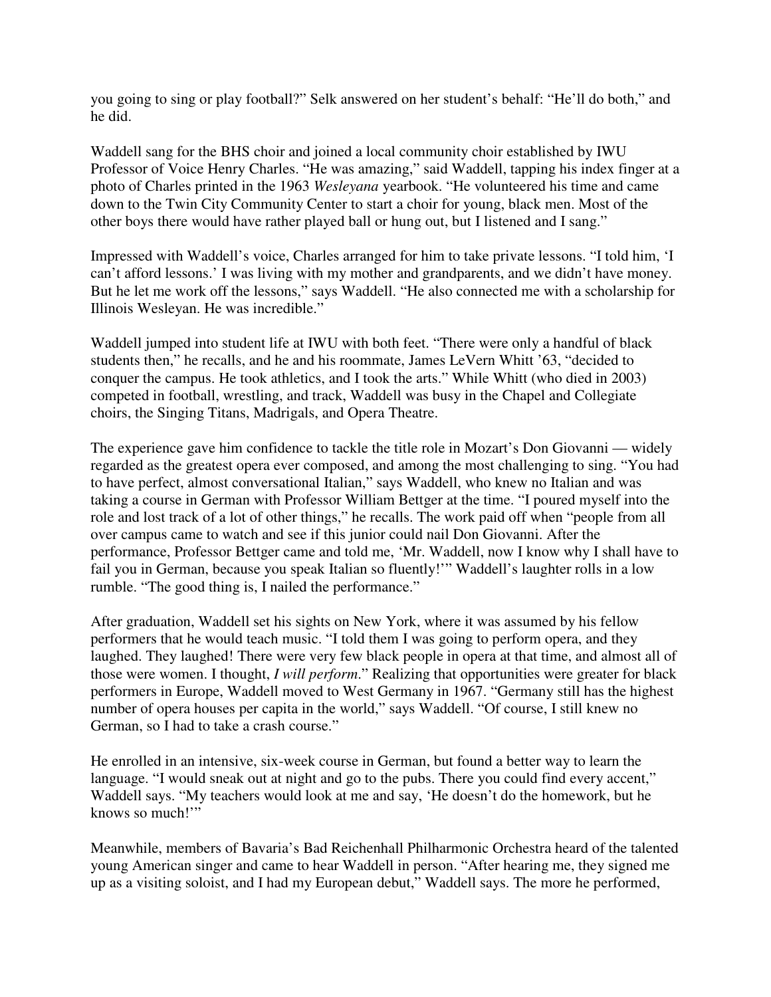you going to sing or play football?" Selk answered on her student's behalf: "He'll do both," and he did.

Waddell sang for the BHS choir and joined a local community choir established by IWU Professor of Voice Henry Charles. "He was amazing," said Waddell, tapping his index finger at a photo of Charles printed in the 1963 *Wesleyana* yearbook. "He volunteered his time and came down to the Twin City Community Center to start a choir for young, black men. Most of the other boys there would have rather played ball or hung out, but I listened and I sang."

Impressed with Waddell's voice, Charles arranged for him to take private lessons. "I told him, 'I can't afford lessons.' I was living with my mother and grandparents, and we didn't have money. But he let me work off the lessons," says Waddell. "He also connected me with a scholarship for Illinois Wesleyan. He was incredible."

Waddell jumped into student life at IWU with both feet. "There were only a handful of black students then," he recalls, and he and his roommate, James LeVern Whitt '63, "decided to conquer the campus. He took athletics, and I took the arts." While Whitt (who died in 2003) competed in football, wrestling, and track, Waddell was busy in the Chapel and Collegiate choirs, the Singing Titans, Madrigals, and Opera Theatre.

The experience gave him confidence to tackle the title role in Mozart's Don Giovanni — widely regarded as the greatest opera ever composed, and among the most challenging to sing. "You had to have perfect, almost conversational Italian," says Waddell, who knew no Italian and was taking a course in German with Professor William Bettger at the time. "I poured myself into the role and lost track of a lot of other things," he recalls. The work paid off when "people from all over campus came to watch and see if this junior could nail Don Giovanni. After the performance, Professor Bettger came and told me, 'Mr. Waddell, now I know why I shall have to fail you in German, because you speak Italian so fluently!'" Waddell's laughter rolls in a low rumble. "The good thing is, I nailed the performance."

After graduation, Waddell set his sights on New York, where it was assumed by his fellow performers that he would teach music. "I told them I was going to perform opera, and they laughed. They laughed! There were very few black people in opera at that time, and almost all of those were women. I thought, *I will perform*." Realizing that opportunities were greater for black performers in Europe, Waddell moved to West Germany in 1967. "Germany still has the highest number of opera houses per capita in the world," says Waddell. "Of course, I still knew no German, so I had to take a crash course."

He enrolled in an intensive, six-week course in German, but found a better way to learn the language. "I would sneak out at night and go to the pubs. There you could find every accent," Waddell says. "My teachers would look at me and say, 'He doesn't do the homework, but he knows so much!'"

Meanwhile, members of Bavaria's Bad Reichenhall Philharmonic Orchestra heard of the talented young American singer and came to hear Waddell in person. "After hearing me, they signed me up as a visiting soloist, and I had my European debut," Waddell says. The more he performed,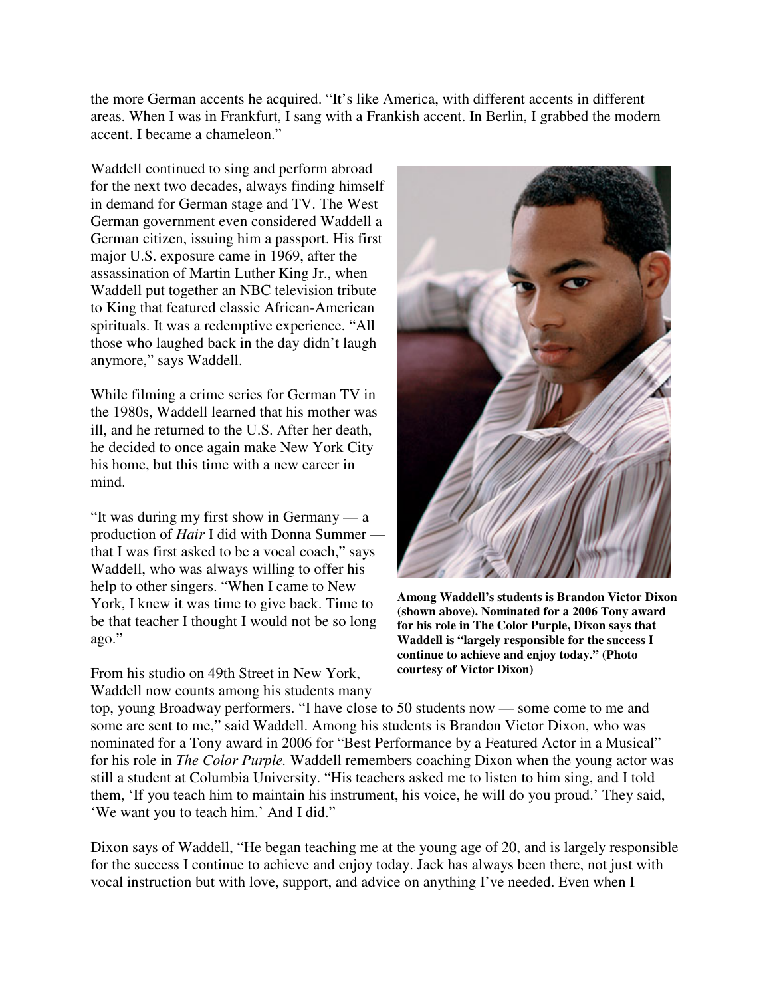the more German accents he acquired. "It's like America, with different accents in different areas. When I was in Frankfurt, I sang with a Frankish accent. In Berlin, I grabbed the modern accent. I became a chameleon."

Waddell continued to sing and perform abroad for the next two decades, always finding himself in demand for German stage and TV. The West German government even considered Waddell a German citizen, issuing him a passport. His first major U.S. exposure came in 1969, after the assassination of Martin Luther King Jr., when Waddell put together an NBC television tribute to King that featured classic African-American spirituals. It was a redemptive experience. "All those who laughed back in the day didn't laugh anymore," says Waddell.

While filming a crime series for German TV in the 1980s, Waddell learned that his mother was ill, and he returned to the U.S. After her death, he decided to once again make New York City his home, but this time with a new career in mind.

"It was during my first show in Germany — a production of *Hair* I did with Donna Summer that I was first asked to be a vocal coach," says Waddell, who was always willing to offer his help to other singers. "When I came to New York, I knew it was time to give back. Time to be that teacher I thought I would not be so long ago."

From his studio on 49th Street in New York, Waddell now counts among his students many



**Among Waddell's students is Brandon Victor Dixon (shown above). Nominated for a 2006 Tony award for his role in The Color Purple, Dixon says that Waddell is "largely responsible for the success I continue to achieve and enjoy today." (Photo courtesy of Victor Dixon)** 

top, young Broadway performers. "I have close to 50 students now — some come to me and some are sent to me," said Waddell. Among his students is Brandon Victor Dixon, who was nominated for a Tony award in 2006 for "Best Performance by a Featured Actor in a Musical" for his role in *The Color Purple.* Waddell remembers coaching Dixon when the young actor was still a student at Columbia University. "His teachers asked me to listen to him sing, and I told them, 'If you teach him to maintain his instrument, his voice, he will do you proud.' They said, 'We want you to teach him.' And I did."

Dixon says of Waddell, "He began teaching me at the young age of 20, and is largely responsible for the success I continue to achieve and enjoy today. Jack has always been there, not just with vocal instruction but with love, support, and advice on anything I've needed. Even when I